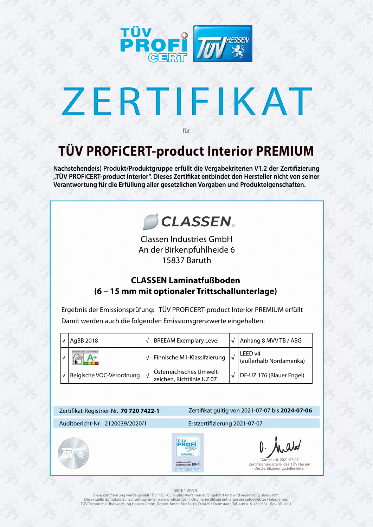

# ZERTIFIKAT

## **TÜV PROFiCERT-product Interior PREMIUM**

für



**Nachstehende(s) Produkt/Produktgruppe erfüllt die Vergabekriterien V1.2 der Zertifizierung "TÜV PROFiCERT-product Interior". Dieses Zertifikat entbindet den Hersteller nicht von seiner Verantwortung für die Erfüllung aller gesetzlichen Vorgaben und Produkteigenschaften.**



#### SEITE 1 VON 9.

Diese Zertifizierung wurde gemäß TÜV PROFiCERT-plus-Verfahren durchgeführt und wird regelmäßig überwacht. Die aktuelle Gültigkeit ist nachprüfbar unter www.proficert.com. Originalzertifikate enthalten ein aufgeklebtes Hologramm. TÜV Technische Überwachung Hessen GmbH, Robert-Bosch-Straße 16, D-64293 Darmstadt, Tel. +49 6151/600331 Rev-DE-2001

Ergebnis der Emissionsprüfung: TÜV PROFiCERT-product Interior PREMIUM erfüllt Damit werden auch die folgenden Emissionsgrenzwerte eingehalten:

|  | AgBB 2018                       |           | <b>BREEAM Exemplary Level</b>                         |            | Anhang 8 MVV TB / ABG              |
|--|---------------------------------|-----------|-------------------------------------------------------|------------|------------------------------------|
|  |                                 |           | Finnische M1-Klassifzierung                           | $\sqrt{ }$ | LEED v4<br>(außerhalb Nordamerika) |
|  | <b>Belgische VOC-Verordnung</b> | $\sqrt{}$ | Österreichisches Umwelt-<br>zeichen, Richtlinie UZ 07 |            | DE-UZ 176 (Blauer Engel)           |

## **CLASSEN Laminatfußboden (6 – 15 mm mit optionaler Trittschallunterlage)**

Classen Industries GmbH An der Birkenpfuhlheide 6 15837 Baruth